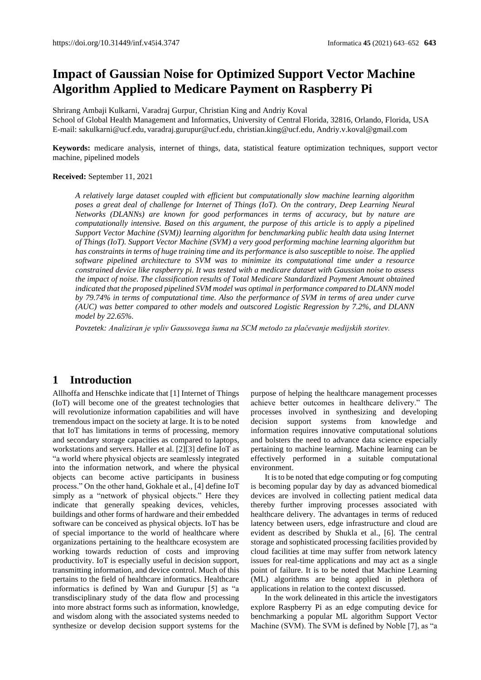# **Impact of Gaussian Noise for Optimized Support Vector Machine Algorithm Applied to Medicare Payment on Raspberry Pi**

Shrirang Ambaji Kulkarni, Varadraj Gurpur, Christian King and Andriy Koval School of Global Health Management and Informatics, University of Central Florida, 32816, Orlando, Florida, USA [E-mail: sakulkarni@ucf.edu,](mailto:E-mail:%20sakulkarni@ucf.edu,%20varadraj.gurupur@ucf.edu) varadraj.gurupur@ucf.edu, [christian.king@ucf.edu,](mailto:christian.king@ucf.edu) Andriy.v.koval@gmail.com

**Keywords:** medicare analysis, internet of things, data, statistical feature optimization techniques, support vector machine, pipelined models

#### **Received:** September 11, 2021

*A relatively large dataset coupled with efficient but computationally slow machine learning algorithm poses a great deal of challenge for Internet of Things (IoT). On the contrary, Deep Learning Neural Networks (DLANNs) are known for good performances in terms of accuracy, but by nature are computationally intensive. Based on this argument, the purpose of this article is to apply a pipelined Support Vector Machine (SVM)) learning algorithm for benchmarking public health data using Internet of Things (IoT). Support Vector Machine (SVM) a very good performing machine learning algorithm but has constraints in terms of huge training time and its performance is also susceptible to noise. The applied software pipelined architecture to SVM was to minimize its computational time under a resource constrained device like raspberry pi. It was tested with a medicare dataset with Gaussian noise to assess the impact of noise. The classification results of Total Medicare Standardized Payment Amount obtained*  indicated that the proposed pipelined SVM model was optimal in performance compared to DLANN model *by 79.74% in terms of computational time. Also the performance of SVM in terms of area under curve (AUC) was better compared to other models and outscored Logistic Regression by 7.2%, and DLANN model by 22.65%.*

*Povzetek: Analiziran je vpliv Gaussovega šuma na SCM metodo za plačevanje medijskih storitev.*

# **1 Introduction**

Allhoffa and Henschke indicate that [1] Internet of Things (IoT) will become one of the greatest technologies that will revolutionize information capabilities and will have tremendous impact on the society at large. It is to be noted that IoT has limitations in terms of processing, memory and secondary storage capacities as compared to laptops, workstations and servers. Haller et al. [2][3] define IoT as "a world where physical objects are seamlessly integrated into the information network, and where the physical objects can become active participants in business process." On the other hand, Gokhale et al., [4] define IoT simply as a "network of physical objects." Here they indicate that generally speaking devices, vehicles, buildings and other forms of hardware and their embedded software can be conceived as physical objects. IoT has be of special importance to the world of healthcare where organizations pertaining to the healthcare ecosystem are working towards reduction of costs and improving productivity. IoT is especially useful in decision support, transmitting information, and device control. Much of this pertains to the field of healthcare informatics. Healthcare informatics is defined by Wan and Gurupur [5] as "a transdisciplinary study of the data flow and processing into more abstract forms such as information, knowledge, and wisdom along with the associated systems needed to synthesize or develop decision support systems for the

purpose of helping the healthcare management processes achieve better outcomes in healthcare delivery." The processes involved in synthesizing and developing decision support systems from knowledge and information requires innovative computational solutions and bolsters the need to advance data science especially pertaining to machine learning. Machine learning can be effectively performed in a suitable computational environment.

It is to be noted that edge computing or fog computing is becoming popular day by day as advanced biomedical devices are involved in collecting patient medical data thereby further improving processes associated with healthcare delivery. The advantages in terms of reduced latency between users, edge infrastructure and cloud are evident as described by Shukla et al., [6]. The central storage and sophisticated processing facilities provided by cloud facilities at time may suffer from network latency issues for real-time applications and may act as a single point of failure. It is to be noted that Machine Learning (ML) algorithms are being applied in plethora of applications in relation to the context discussed.

In the work delineated in this article the investigators explore Raspberry Pi as an edge computing device for benchmarking a popular ML algorithm Support Vector Machine (SVM). The SVM is defined by Noble [7], as "a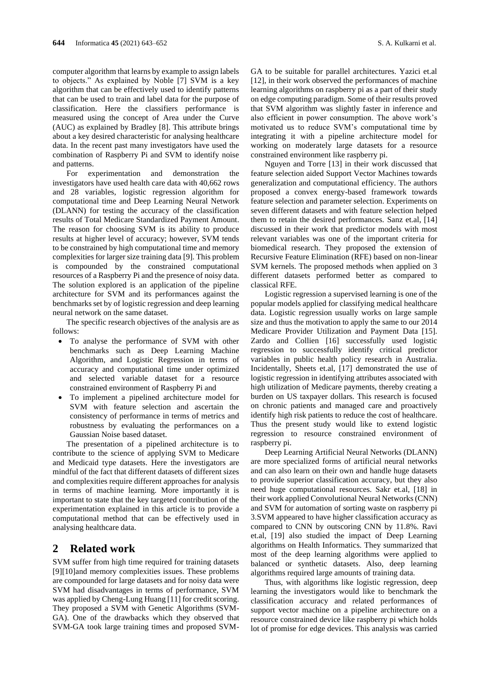computer algorithm that learns by example to assign labels to objects." As explained by Noble [7] SVM is a key algorithm that can be effectively used to identify patterns that can be used to train and label data for the purpose of classification. Here the classifiers performance is measured using the concept of Area under the Curve (AUC) as explained by Bradley [8]. This attribute brings about a key desired characteristic for analysing healthcare data. In the recent past many investigators have used the combination of Raspberry Pi and SVM to identify noise and patterns.

For experimentation and demonstration the investigators have used health care data with 40,662 rows and 28 variables, logistic regression algorithm for computational time and Deep Learning Neural Network (DLANN) for testing the accuracy of the classification results of Total Medicare Standardized Payment Amount. The reason for choosing SVM is its ability to produce results at higher level of accuracy; however, SVM tends to be constrained by high computational time and memory complexities for larger size training data [9]. This problem is compounded by the constrained computational resources of a Raspberry Pi and the presence of noisy data. The solution explored is an application of the pipeline architecture for SVM and its performances against the benchmarks set by of logistic regression and deep learning neural network on the same dataset.

The specific research objectives of the analysis are as follows:

- To analyse the performance of SVM with other benchmarks such as Deep Learning Machine Algorithm, and Logistic Regression in terms of accuracy and computational time under optimized and selected variable dataset for a resource constrained environment of Raspberry Pi and
- To implement a pipelined architecture model for SVM with feature selection and ascertain the consistency of performance in terms of metrics and robustness by evaluating the performances on a Gaussian Noise based dataset.

The presentation of a pipelined architecture is to contribute to the science of applying SVM to Medicare and Medicaid type datasets. Here the investigators are mindful of the fact that different datasets of different sizes and complexities require different approaches for analysis in terms of machine learning. More importantly it is important to state that the key targeted contribution of the experimentation explained in this article is to provide a computational method that can be effectively used in analysing healthcare data.

# **2 Related work**

SVM suffer from high time required for training datasets [9][10]and memory complexities issues. These problems are compounded for large datasets and for noisy data were SVM had disadvantages in terms of performance, SVM was applied by Cheng-Lung Huang [11] for credit scoring. They proposed a SVM with Genetic Algorithms (SVM-GA). One of the drawbacks which they observed that SVM-GA took large training times and proposed SVM-

GA to be suitable for parallel architectures. Yazici et.al [12], in their work observed the performances of machine learning algorithms on raspberry pi as a part of their study on edge computing paradigm. Some of their results proved that SVM algorithm was slightly faster in inference and also efficient in power consumption. The above work's motivated us to reduce SVM's computational time by integrating it with a pipeline architecture model for working on moderately large datasets for a resource constrained environment like raspberry pi.

Nguyen and Torre [13] in their work discussed that feature selection aided Support Vector Machines towards generalization and computational efficiency. The authors proposed a convex energy-based framework towards feature selection and parameter selection. Experiments on seven different datasets and with feature selection helped them to retain the desired performances. Sanz et.al, [14] discussed in their work that predictor models with most relevant variables was one of the important criteria for biomedical research. They proposed the extension of Recursive Feature Elimination (RFE) based on non-linear SVM kernels. The proposed methods when applied on 3 different datasets performed better as compared to classical RFE.

Logistic regression a supervised learning is one of the popular models applied for classifying medical healthcare data. Logistic regression usually works on large sample size and thus the motivation to apply the same to our 2014 Medicare Provider Utilization and Payment Data [15]. Zardo and Collien [16] successfully used logistic regression to successfully identify critical predictor variables in public health policy research in Australia. Incidentally, Sheets et.al, [17] demonstrated the use of logistic regression in identifying attributes associated with high utilization of Medicare payments, thereby creating a burden on US taxpayer dollars. This research is focused on chronic patients and managed care and proactively identify high risk patients to reduce the cost of healthcare. Thus the present study would like to extend logistic regression to resource constrained environment of raspberry pi.

Deep Learning Artificial Neural Networks (DLANN) are more specialized forms of artificial neural networks and can also learn on their own and handle huge datasets to provide superior classification accuracy, but they also need huge computational resources. Sakr et.al, [18] in their work applied Convolutional Neural Networks (CNN) and SVM for automation of sorting waste on raspberry pi 3.SVM appeared to have higher classification accuracy as compared to CNN by outscoring CNN by 11.8%. Ravi et.al, [19] also studied the impact of Deep Learning algorithms on Health Informatics. They summarized that most of the deep learning algorithms were applied to balanced or synthetic datasets. Also, deep learning algorithms required large amounts of training data.

Thus, with algorithms like logistic regression, deep learning the investigators would like to benchmark the classification accuracy and related performances of support vector machine on a pipeline architecture on a resource constrained device like raspberry pi which holds lot of promise for edge devices. This analysis was carried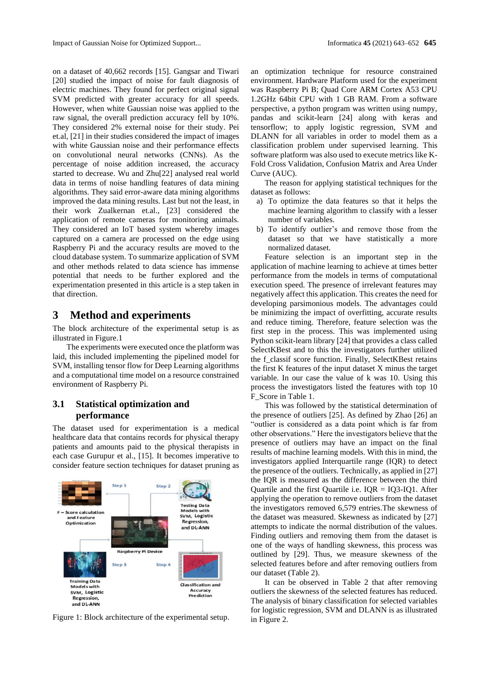on a dataset of 40,662 records [15]. Gangsar and Tiwari [20] studied the impact of noise for fault diagnosis of electric machines. They found for perfect original signal SVM predicted with greater accuracy for all speeds. However, when white Gaussian noise was applied to the raw signal, the overall prediction accuracy fell by 10%. They considered 2% external noise for their study. Pei et.al, [21] in their studies considered the impact of images with white Gaussian noise and their performance effects on convolutional neural networks (CNNs). As the percentage of noise addition increased, the accuracy started to decrease. Wu and Zhu[22] analysed real world data in terms of noise handling features of data mining algorithms. They said error-aware data mining algorithms improved the data mining results. Last but not the least, in their work Zualkernan et.al., [23] considered the application of remote cameras for monitoring animals. They considered an IoT based system whereby images captured on a camera are processed on the edge using Raspberry Pi and the accuracy results are moved to the cloud database system. To summarize application of SVM and other methods related to data science has immense potential that needs to be further explored and the experimentation presented in this article is a step taken in that direction.

# **3 Method and experiments**

The block architecture of the experimental setup is as illustrated in Figure.1

The experiments were executed once the platform was laid, this included implementing the pipelined model for SVM, installing tensor flow for Deep Learning algorithms and a computational time model on a resource constrained environment of Raspberry Pi.

### **3.1 Statistical optimization and performance**

The dataset used for experimentation is a medical healthcare data that contains records for physical therapy patients and amounts paid to the physical therapists in each case Gurupur et al., [15]. It becomes imperative to consider feature section techniques for dataset pruning as



Figure 1: Block architecture of the experimental setup.  $\frac{1}{\pi}$  Figure 2.

an optimization technique for resource constrained environment. Hardware Platform used for the experiment was Raspberry Pi B; Quad Core ARM Cortex A53 CPU 1.2GHz 64bit CPU with 1 GB RAM. From a software perspective, a python program was written using numpy, pandas and scikit-learn [24] along with keras and tensorflow; to apply logistic regression, SVM and DLANN for all variables in order to model them as a classification problem under supervised learning. This software platform was also used to execute metrics like K-Fold Cross Validation, Confusion Matrix and Area Under Curve (AUC).

The reason for applying statistical techniques for the dataset as follows:

- a) To optimize the data features so that it helps the machine learning algorithm to classify with a lesser number of variables.
- b) To identify outlier's and remove those from the dataset so that we have statistically a more normalized dataset.

Feature selection is an important step in the application of machine learning to achieve at times better performance from the models in terms of computational execution speed. The presence of irrelevant features may negatively affect this application. This creates the need for developing parsimonious models. The advantages could be minimizing the impact of overfitting, accurate results and reduce timing. Therefore, feature selection was the first step in the process. This was implemented using Python scikit-learn library [24] that provides a class called SelectKBest and to this the investigators further utilized the f\_classif score function. Finally, SelectKBest retains the first K features of the input dataset X minus the target variable. In our case the value of k was 10. Using this process the investigators listed the features with top 10 F\_Score in Table 1.

This was followed by the statistical determination of the presence of outliers [25]. As defined by Zhao [26] an "outlier is considered as a data point which is far from other observations." Here the investigators believe that the presence of outliers may have an impact on the final results of machine learning models. With this in mind, the investigators applied Interquartile range (IQR) to detect the presence of the outliers. Technically, as applied in [27] the IQR is measured as the difference between the third Quartile and the first Quartile i.e.  $IQR = IQ3-IQ1$ . After applying the operation to remove outliers from the dataset the investigators removed 6,579 entries.The skewness of the dataset was measured. Skewness as indicated by [27] attempts to indicate the normal distribution of the values. Finding outliers and removing them from the dataset is one of the ways of handling skewness, this process was outlined by [29]. Thus, we measure skewness of the selected features before and after removing outliers from our dataset (Table 2).

It can be observed in Table 2 that after removing outliers the skewness of the selected features has reduced. The analysis of binary classification for selected variables for logistic regression, SVM and DLANN is as illustrated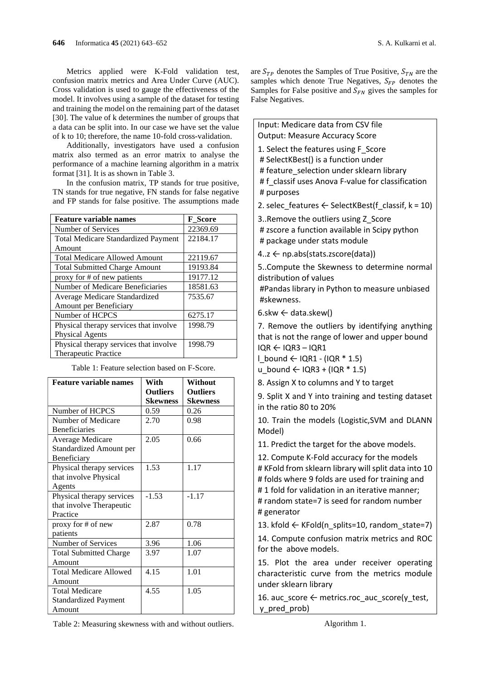Metrics applied were K-Fold validation test, confusion matrix metrics and Area Under Curve (AUC). Cross validation is used to gauge the effectiveness of the model. It involves using a sample of the dataset for testing and training the model on the remaining part of the dataset [30]. The value of k determines the number of groups that a data can be split into. In our case we have set the value of k to 10; therefore, the name 10-fold cross-validation.

Additionally, investigators have used a confusion matrix also termed as an error matrix to analyse the performance of a machine learning algorithm in a matrix format [31]. It is as shown in Table 3.

In the confusion matrix, TP stands for true positive, TN stands for true negative, FN stands for false negative and FP stands for false positive. The assumptions made

| <b>Feature variable names</b>              | <b>F</b> Score |
|--------------------------------------------|----------------|
| Number of Services                         | 22369.69       |
| <b>Total Medicare Standardized Payment</b> | 22184.17       |
| Amount                                     |                |
| <b>Total Medicare Allowed Amount</b>       | 22119.67       |
| <b>Total Submitted Charge Amount</b>       | 19193.84       |
| proxy for # of new patients                | 19177.12       |
| Number of Medicare Beneficiaries           | 18581.63       |
| Average Medicare Standardized              | 7535.67        |
| Amount per Beneficiary                     |                |
| Number of HCPCS                            | 6275.17        |
| Physical therapy services that involve     | 1998.79        |
| <b>Physical Agents</b>                     |                |
| Physical therapy services that involve     | 1998.79        |
| Therapeutic Practice                       |                |

Table 1: Feature selection based on F-Score.

| <b>Feature variable names</b> | With            | Without         |
|-------------------------------|-----------------|-----------------|
|                               | <b>Outliers</b> | <b>Outliers</b> |
|                               | <b>Skewness</b> | <b>Skewness</b> |
| Number of HCPCS               | 0.59            | 0.26            |
| Number of Medicare            | 2.70            | 0.98            |
| <b>Beneficiaries</b>          |                 |                 |
| Average Medicare              | 2.05            | 0.66            |
| Standardized Amount per       |                 |                 |
| Beneficiary                   |                 |                 |
| Physical therapy services     | 1.53            | 1.17            |
| that involve Physical         |                 |                 |
| Agents                        |                 |                 |
| Physical therapy services     | $-1.53$         | $-1.17$         |
| that involve Therapeutic      |                 |                 |
| Practice                      |                 |                 |
| proxy for # of new            | 2.87            | 0.78            |
| patients                      |                 |                 |
| Number of Services            | 3.96            | 1.06            |
| <b>Total Submitted Charge</b> | 3.97            | 1.07            |
| Amount                        |                 |                 |
| <b>Total Medicare Allowed</b> | 4.15            | 1.01            |
| Amount                        |                 |                 |
| <b>Total Medicare</b>         | 4.55            | 1.05            |
| <b>Standardized Payment</b>   |                 |                 |
| Amount                        |                 |                 |

Table 2: Measuring skewness with and without outliers.

are  $S_{TP}$  denotes the Samples of True Positive,  $S_{TN}$  are the samples which denote True Negatives,  $S_{FP}$  denotes the Samples for False positive and  $S_{FN}$  gives the samples for False Negatives.

Input: Medicare data from CSV file Output: Measure Accuracy Score

- 1. Select the features using F Score
- # SelectKBest() is a function under
- # feature\_selection under sklearn library

# f\_classif uses Anova F-value for classification # purposes

2. selec features  $\leftarrow$  SelectKBest(f classif, k = 10)

- 3..Remove the outliers using Z\_Score
- # zscore a function available in Scipy python # package under stats module
- 4..z ← np.abs(stats.zscore(data))

5..Compute the Skewness to determine normal distribution of values

#Pandas library in Python to measure unbiased #skewness.

 $6.$ skw  $\leftarrow$  data.skew()

7. Remove the outliers by identifying anything that is not the range of lower and upper bound IQR ← IQR3 – IQR1

- l bound  $\leftarrow$  IQR1 (IQR  $*$  1.5)
- u bound ← IQR3 + (IQR  $*$  1.5)

8. Assign X to columns and Y to target

9. Split X and Y into training and testing dataset in the ratio 80 to 20%

10. Train the models (Logistic,SVM and DLANN Model)

11. Predict the target for the above models.

12. Compute K-Fold accuracy for the models # KFold from sklearn library will split data into 10 # folds where 9 folds are used for training and # 1 fold for validation in an iterative manner; # random state=7 is seed for random number # generator

13. kfold  $\leftarrow$  KFold(n splits=10, random state=7)

14. Compute confusion matrix metrics and ROC for the above models.

15. Plot the area under receiver operating characteristic curve from the metrics module under sklearn library

16. auc\_score  $\leftarrow$  metrics.roc\_auc\_score(y\_test, y\_pred\_prob)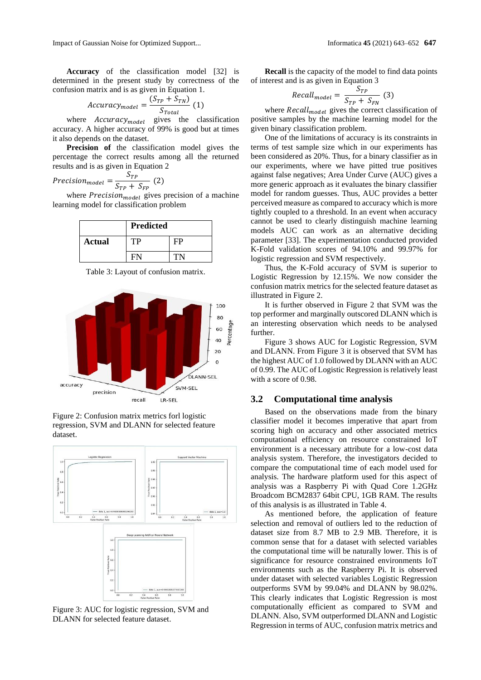Impact of Gaussian Noise for Optimized Support... Informatica **45** (2021) 643–652 **647**

determined in the present study by correctness of the confusion matrix and is as given in Equation 1.

$$
Accuracy_{model} = \frac{(S_{TP} + S_{TN})}{S_{Total}} (1)
$$

where  $Accuracy_{model}$  gives the classification accuracy. A higher accuracy of 99% is good but at times it also depends on the dataset.

**Precision of** the classification model gives the percentage the correct results among all the returned results and is as given in Equation 2

$$
Precision_{model} = \frac{S_{TP}}{S_{TP} + S_{FP}} (2)
$$

where  $Precision_{model}$  gives precision of a machine learning model for classification problem

|               | <b>Predicted</b> |  |
|---------------|------------------|--|
| <b>Actual</b> | ΊP               |  |
|               |                  |  |

Table 3: Layout of confusion matrix.



Figure 2: Confusion matrix metrics forl logistic regression, SVM and DLANN for selected feature dataset.



Figure 3: AUC for logistic regression, SVM and DLANN for selected feature dataset.

**Recall** is the capacity of the model to find data points of interest and is as given in Equation 3

$$
Recall_{model} = \frac{S_{TP}}{S_{TP} + S_{FN}} \tag{3}
$$

where  $Recall_{model}$  gives the correct classification of positive samples by the machine learning model for the given binary classification problem.

One of the limitations of accuracy is its constraints in terms of test sample size which in our experiments has been considered as 20%. Thus, for a binary classifier as in our experiments, where we have pitted true positives against false negatives; Area Under Curve (AUC) gives a more generic approach as it evaluates the binary classifier model for random guesses. Thus, AUC provides a better perceived measure as compared to accuracy which is more tightly coupled to a threshold. In an event when accuracy cannot be used to clearly distinguish machine learning models AUC can work as an alternative deciding parameter [33]. The experimentation conducted provided K-Fold validation scores of 94.10% and 99.97% for logistic regression and SVM respectively.

Thus, the K-Fold accuracy of SVM is superior to Logistic Regression by 12.15%. We now consider the confusion matrix metrics for the selected feature dataset as illustrated in Figure 2.

It is further observed in Figure 2 that SVM was the top performer and marginally outscored DLANN which is an interesting observation which needs to be analysed further.

Figure 3 shows AUC for Logistic Regression, SVM and DLANN. From Figure 3 it is observed that SVM has the highest AUC of 1.0 followed by DLANN with an AUC of 0.99. The AUC of Logistic Regression is relatively least with a score of 0.98.

### **3.2 Computational time analysis**

Based on the observations made from the binary classifier model it becomes imperative that apart from scoring high on accuracy and other associated metrics computational efficiency on resource constrained IoT environment is a necessary attribute for a low-cost data analysis system. Therefore, the investigators decided to compare the computational time of each model used for analysis. The hardware platform used for this aspect of analysis was a Raspberry Pi with Quad Core 1.2GHz Broadcom BCM2837 64bit CPU, 1GB RAM. The results of this analysis is as illustrated in Table 4.

As mentioned before, the application of feature selection and removal of outliers led to the reduction of dataset size from 8.7 MB to 2.9 MB. Therefore, it is common sense that for a dataset with selected variables the computational time will be naturally lower. This is of significance for resource constrained environments IoT environments such as the Raspberry Pi. It is observed under dataset with selected variables Logistic Regression outperforms SVM by 99.04% and DLANN by 98.02%. This clearly indicates that Logistic Regression is most computationally efficient as compared to SVM and DLANN. Also, SVM outperformed DLANN and Logistic Regression in terms of AUC, confusion matrix metrics and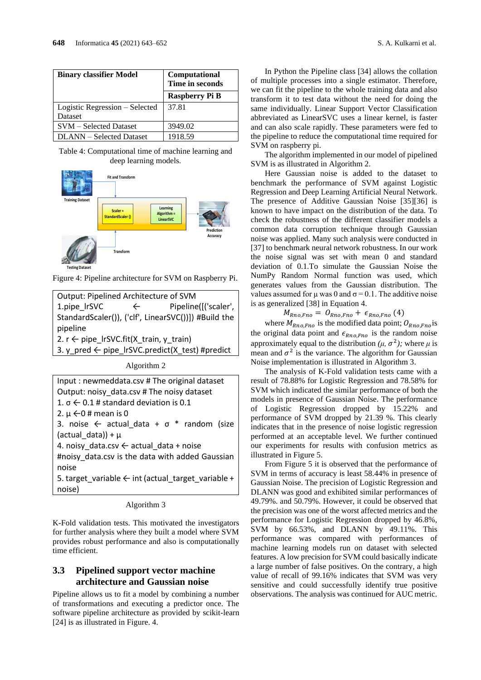| <b>Binary classifier Model</b>                   | Computational<br>Time in seconds |  |
|--------------------------------------------------|----------------------------------|--|
|                                                  | <b>Raspberry Pi B</b>            |  |
| Logistic Regression - Selected<br><b>Dataset</b> | 37.81                            |  |
| <b>SVM</b> – Selected Dataset                    | 3949.02                          |  |
| DLANN – Selected Dataset                         | 1918.59                          |  |

Table 4: Computational time of machine learning and deep learning models.



**Testing Dataset**

Figure 4: Pipeline architecture for SVM on Raspberry Pi.

| Algorithm 2 |  |  |
|-------------|--|--|
|-------------|--|--|

| Input: newmeddata.csv # The original dataset                  |  |  |
|---------------------------------------------------------------|--|--|
| Output: noisy data.csv # The noisy dataset                    |  |  |
| 1. $\sigma$ $\leftarrow$ 0.1 # standard deviation is 0.1      |  |  |
| 2. $\mu$ $\leftarrow$ 0 # mean is 0                           |  |  |
| 3. noise $\leftarrow$ actual data + $\sigma$ * random (size   |  |  |
| (actual data)) + $\mu$                                        |  |  |
| 4. noisy data.csv $\leftarrow$ actual data + noise            |  |  |
| #noisy data.csv is the data with added Gaussian               |  |  |
| noise                                                         |  |  |
| 5. target_variable $\leftarrow$ int (actual_target_variable + |  |  |
| noise)                                                        |  |  |

Algorithm 3

K-Fold validation tests. This motivated the investigators for further analysis where they built a model where SVM provides robust performance and also is computationally time efficient.

## **3.3 Pipelined support vector machine architecture and Gaussian noise**

Pipeline allows us to fit a model by combining a number of transformations and executing a predictor once. The software pipeline architecture as provided by scikit-learn [24] is as illustrated in Figure. 4.

In Python the Pipeline class [34] allows the collation of multiple processes into a single estimator. Therefore, we can fit the pipeline to the whole training data and also transform it to test data without the need for doing the same individually. Linear Support Vector Classification abbreviated as LinearSVC uses a linear kernel, is faster and can also scale rapidly. These parameters were fed to the pipeline to reduce the computational time required for SVM on raspberry pi.

The algorithm implemented in our model of pipelined SVM is as illustrated in Algorithm 2.

Here Gaussian noise is added to the dataset to benchmark the performance of SVM against Logistic Regression and Deep Learning Artificial Neural Network. The presence of Additive Gaussian Noise [35][36] is known to have impact on the distribution of the data. To check the robustness of the different classifier models a common data corruption technique through Gaussian noise was applied. Many such analysis were conducted in [37] to benchmark neural network robustness. In our work the noise signal was set with mean 0 and standard deviation of 0.1.To simulate the Gaussian Noise the NumPy Random Normal function was used, which generates values from the Gaussian distribution. The values assumed for  $\mu$  was 0 and  $\sigma$  = 0.1. The additive noise is as generalized [38] in Equation 4.

 $M_{Rno,Fno} = O_{Rno,Fno} + \epsilon_{Rno,Fno}$  (4)

where  $M_{Rno,Fno}$  is the modified data point;  $O_{Rno,Fno}$  is the original data point and  $\epsilon_{Rno,Fno}$  is the random noise approximately equal to the distribution  $(\mu, \sigma^2)$ ; where  $\mu$  is mean and  $\sigma^2$  is the variance. The algorithm for Gaussian Noise implementation is illustrated in Algorithm 3.

The analysis of K-Fold validation tests came with a result of 78.88% for Logistic Regression and 78.58% for SVM which indicated the similar performance of both the models in presence of Gaussian Noise. The performance of Logistic Regression dropped by 15.22% and performance of SVM dropped by 21.39 %. This clearly indicates that in the presence of noise logistic regression performed at an acceptable level. We further continued our experiments for results with confusion metrics as illustrated in Figure 5.

From Figure 5 it is observed that the performance of SVM in terms of accuracy is least 58.44% in presence of Gaussian Noise. The precision of Logistic Regression and DLANN was good and exhibited similar performances of 49.79%. and 50.79%. However, it could be observed that the precision was one of the worst affected metrics and the performance for Logistic Regression dropped by 46.8%, SVM by 66.53%, and DLANN by 49.11%. This performance was compared with performances of machine learning models run on dataset with selected features. A low precision for SVM could basically indicate a large number of false positives. On the contrary, a high value of recall of 99.16% indicates that SVM was very sensitive and could successfully identify true positive observations. The analysis was continued for AUC metric.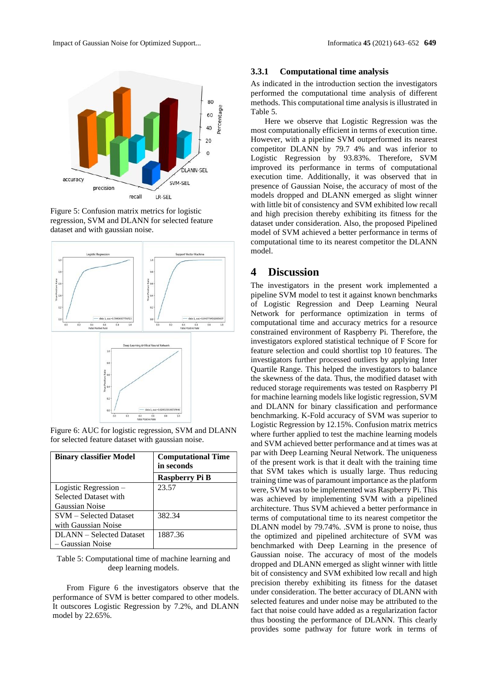

Figure 5: Confusion matrix metrics for logistic regression, SVM and DLANN for selected feature dataset and with gaussian noise.



Figure 6: AUC for logistic regression, SVM and DLANN for selected feature dataset with gaussian noise.

| <b>Binary classifier Model</b> | <b>Computational Time</b><br>in seconds |
|--------------------------------|-----------------------------------------|
|                                | <b>Raspberry Pi B</b>                   |
| Logistic Regression $-$        | 23.57                                   |
| <b>Selected Dataset with</b>   |                                         |
| Gaussian Noise                 |                                         |
| <b>SVM</b> – Selected Dataset  | 382.34                                  |
| with Gaussian Noise            |                                         |
| DLANN – Selected Dataset       | 1887.36                                 |
| - Gaussian Noise               |                                         |

#### Table 5: Computational time of machine learning and deep learning models.

From Figure 6 the investigators observe that the performance of SVM is better compared to other models. It outscores Logistic Regression by 7.2%, and DLANN model by 22.65%.

### **3.3.1 Computational time analysis**

As indicated in the introduction section the investigators performed the computational time analysis of different methods. This computational time analysis is illustrated in Table 5.

Here we observe that Logistic Regression was the most computationally efficient in terms of execution time. However, with a pipeline SVM outperformed its nearest competitor DLANN by 79.7 4% and was inferior to Logistic Regression by 93.83%. Therefore, SVM improved its performance in terms of computational execution time. Additionally, it was observed that in presence of Gaussian Noise, the accuracy of most of the models dropped and DLANN emerged as slight winner with little bit of consistency and SVM exhibited low recall and high precision thereby exhibiting its fitness for the dataset under consideration. Also, the proposed Pipelined model of SVM achieved a better performance in terms of computational time to its nearest competitor the DLANN model.

## **4 Discussion**

The investigators in the present work implemented a pipeline SVM model to test it against known benchmarks of Logistic Regression and Deep Learning Neural Network for performance optimization in terms of computational time and accuracy metrics for a resource constrained environment of Raspberry Pi. Therefore, the investigators explored statistical technique of F Score for feature selection and could shortlist top 10 features. The investigators further processed outliers by applying Inter Quartile Range. This helped the investigators to balance the skewness of the data. Thus, the modified dataset with reduced storage requirements was tested on Raspberry PI for machine learning models like logistic regression, SVM and DLANN for binary classification and performance benchmarking. K-Fold accuracy of SVM was superior to Logistic Regression by 12.15%. Confusion matrix metrics where further applied to test the machine learning models and SVM achieved better performance and at times was at par with Deep Learning Neural Network. The uniqueness of the present work is that it dealt with the training time that SVM takes which is usually large. Thus reducing training time was of paramount importance as the platform were, SVM was to be implemented was Raspberry Pi. This was achieved by implementing SVM with a pipelined architecture. Thus SVM achieved a better performance in terms of computational time to its nearest competitor the DLANN model by 79.74%. .SVM is prone to noise, thus the optimized and pipelined architecture of SVM was benchmarked with Deep Learning in the presence of Gaussian noise. The accuracy of most of the models dropped and DLANN emerged as slight winner with little bit of consistency and SVM exhibited low recall and high precision thereby exhibiting its fitness for the dataset under consideration. The better accuracy of DLANN with selected features and under noise may be attributed to the fact that noise could have added as a regularization factor thus boosting the performance of DLANN. This clearly provides some pathway for future work in terms of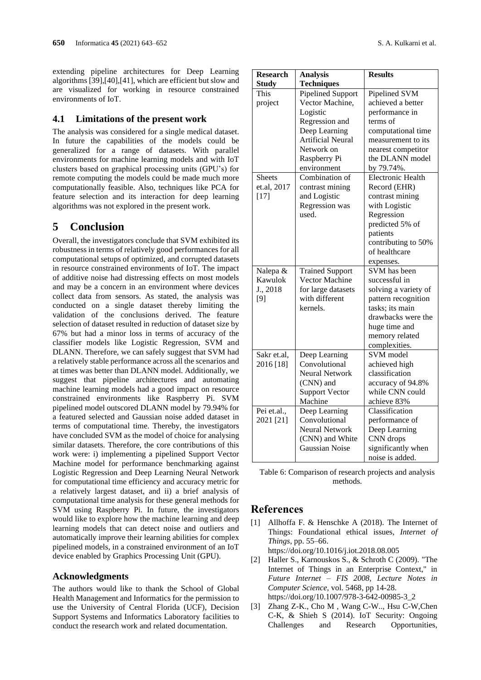extending pipeline architectures for Deep Learning algorithms [39],[40],[41], which are efficient but slow and are visualized for working in resource constrained environments of IoT.

#### **4.1 Limitations of the present work**

The analysis was considered for a single medical dataset. In future the capabilities of the models could be generalized for a range of datasets. With parallel environments for machine learning models and with IoT clusters based on graphical processing units (GPU's) for remote computing the models could be made much more computationally feasible. Also, techniques like PCA for feature selection and its interaction for deep learning algorithms was not explored in the present work.

# **5 Conclusion**

Overall, the investigators conclude that SVM exhibited its robustness in terms of relatively good performances for all computational setups of optimized, and corrupted datasets in resource constrained environments of IoT. The impact of additive noise had distressing effects on most models and may be a concern in an environment where devices collect data from sensors. As stated, the analysis was conducted on a single dataset thereby limiting the validation of the conclusions derived. The feature selection of dataset resulted in reduction of dataset size by 67% but had a minor loss in terms of accuracy of the classifier models like Logistic Regression, SVM and DLANN. Therefore, we can safely suggest that SVM had a relatively stable performance across all the scenarios and at times was better than DLANN model. Additionally, we suggest that pipeline architectures and automating machine learning models had a good impact on resource constrained environments like Raspberry Pi. SVM pipelined model outscored DLANN model by 79.94% for a featured selected and Gaussian noise added dataset in terms of computational time. Thereby, the investigators have concluded SVM as the model of choice for analysing similar datasets. Therefore, the core contributions of this work were: i) implementing a pipelined Support Vector Machine model for performance benchmarking against Logistic Regression and Deep Learning Neural Network for computational time efficiency and accuracy metric for a relatively largest dataset, and ii) a brief analysis of computational time analysis for these general methods for SVM using Raspberry Pi. In future, the investigators would like to explore how the machine learning and deep learning models that can detect noise and outliers and automatically improve their learning abilities for complex pipelined models, in a constrained environment of an IoT device enabled by Graphics Processing Unit (GPU).

#### **Acknowledgments**

The authors would like to thank the School of Global Health Management and Informatics for the permission to use the University of Central Florida (UCF), Decision Support Systems and Informatics Laboratory facilities to conduct the research work and related documentation.

| <b>Research</b> | <b>Analysis</b>                | <b>Results</b>                       |
|-----------------|--------------------------------|--------------------------------------|
| <b>Study</b>    | <b>Techniques</b>              |                                      |
| This            | <b>Pipelined Support</b>       | Pipelined SVM                        |
| project         | Vector Machine,                | achieved a better                    |
|                 | Logistic                       | performance in                       |
|                 | Regression and                 | terms of                             |
|                 | Deep Learning                  | computational time                   |
|                 | <b>Artificial Neural</b>       | measurement to its                   |
|                 | Network on                     | nearest competitor                   |
|                 | Raspberry Pi                   | the DLANN model                      |
|                 | environment                    | by 79.74%.                           |
| <b>Sheets</b>   | Combination of                 | <b>Electronic Health</b>             |
| et.al, 2017     | contrast mining                | Record (EHR)                         |
| $[17]$          | and Logistic                   | contrast mining                      |
|                 | Regression was                 | with Logistic                        |
|                 | used.                          | Regression                           |
|                 |                                | predicted 5% of                      |
|                 |                                | patients                             |
|                 |                                | contributing to 50%                  |
|                 |                                | of healthcare                        |
|                 |                                | expenses.                            |
| Nalepa &        | <b>Trained Support</b>         | SVM has been                         |
| Kawulok         | <b>Vector Machine</b>          | successful in                        |
| J., 2018        | for large datasets             | solving a variety of                 |
| $[9]$           | with different                 | pattern recognition                  |
|                 | kernels.                       | tasks; its main                      |
|                 |                                | drawbacks were the                   |
|                 |                                | huge time and                        |
|                 |                                | memory related                       |
|                 |                                | complexities.                        |
| Sakr et.al,     | Deep Learning                  | SVM model                            |
| 2016 [18]       | Convolutional                  | achieved high                        |
|                 | <b>Neural Network</b>          | classification                       |
|                 | (CNN) and                      | accuracy of 94.8%<br>while CNN could |
|                 | <b>Support Vector</b>          |                                      |
| Pei et.al.,     | Machine                        | achieve 83%<br>Classification        |
| 2021 [21]       | Deep Learning<br>Convolutional |                                      |
|                 | <b>Neural Network</b>          | performance of                       |
|                 | (CNN) and White                | Deep Learning<br>CNN drops           |
|                 | <b>Gaussian Noise</b>          | significantly when                   |
|                 |                                | noise is added.                      |
|                 |                                |                                      |

Table 6: Comparison of research projects and analysis methods.

### **References**

- [1] Allhoffa F. & Henschke A (2018). The Internet of Things: Foundational ethical issues, *Internet of Things*, pp. 55–66.
	- <https://doi.org/10.1016/j.iot.2018.08.005>
- [2] Haller S., Karnouskos S., & Schroth C (2009). "The Internet of Things in an Enterprise Context," in *Future Internet – FIS 2008, Lecture Notes in Computer Science*, vol. 5468, pp 14-28. https://doi.org/10.1007/978-3-642-00985-3\_2
- [3] Zhang Z-K., Cho M , Wang C-W.., Hsu C-W,Chen C-K, & Shieh S (2014). IoT Security: Ongoing Challenges and Research Opportunities,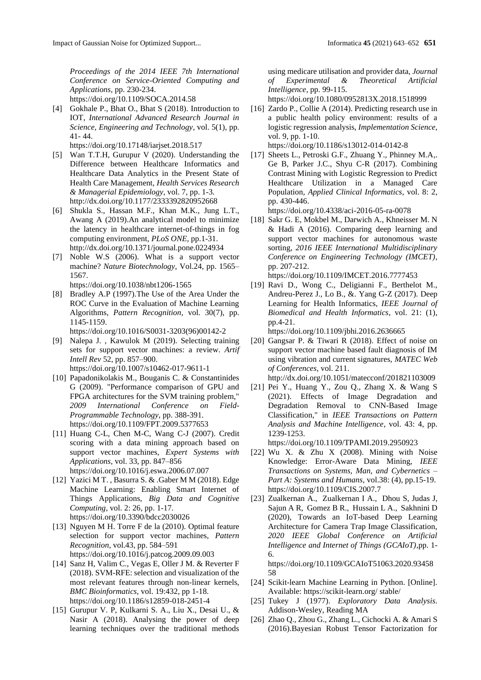*Proceedings of the 2014 IEEE 7th International Conference on Service-Oriented Computing and Applications*, pp. 230-234. https://doi.org/10.1109/SOCA.2014.58

[4] Gokhale P., Bhat O., Bhat S (2018). Introduction to IOT, *International Advanced Research Journal in Science, Engineering and Technology*, vol. 5(1), pp. 41- 44.

https://doi.org/10.17148/iarjset.2018.517

- [5] Wan T.T.H, Gurupur V (2020). Understanding the Difference between Healthcare Informatics and Healthcare Data Analytics in the Present State of Health Care Management, *Health Services Research & Managerial Epidemiology*, vol. 7, pp. 1-3. http://dx.doi.org/10.1177/2333392820952668
- [6] Shukla S., Hassan M.F., Khan M.K., Jung L.T., Awang A (2019).An analytical model to minimize the latency in healthcare internet-of-things in fog computing environment, *PLoS ONE*, pp.1-31. http://dx.doi.org/10.1371/journal.pone.0224934
- [7] Noble W.S (2006). What is a support vector machine? *Nature Biotechnology*, Vol.24, pp. 1565– 1567.
	- https://doi.org/10.1038/nbt1206-1565
- [8] Bradley A.P (1997).The Use of the Area Under the ROC Curve in the Evaluation of Machine Learning Algorithms, *Pattern Recognition*, vol. 30(7), pp. 1145-1159.

https://doi.org/10.1016/S0031-3203(96)00142-2

- [9] Nalepa J. , Kawulok M (2019). Selecting training sets for support vector machines: a review. *Artif Intell Rev* 52, pp. 857–900. https://doi.org/10.1007/s10462-017-9611-1
- [10] Papadonikolakis M., Bouganis C. & Constantinides G (2009). "Performance comparison of GPU and FPGA architectures for the SVM training problem," *2009 International Conference on Field-Programmable Technology*, pp. 388-391. https://doi.org/10.1109/FPT.2009.5377653
- [11] Huang C-L, Chen M-C, Wang C-J (2007). Credit scoring with a data mining approach based on support vector machines, *Expert Systems with Applications*, vol. 33, pp. 847–856 https://doi.org/10.1016/j.eswa.2006.07.007
- [12] Yazici M T. , Basurra S. & .Gaber M M (2018). Edge Machine Learning: Enabling Smart Internet of Things Applications, *Big Data and Cognitive Computing*, vol. 2: 26, pp. 1-17. https://doi.org/10.3390/bdcc2030026
- [13] Nguyen M H. Torre F de la (2010). Optimal feature selection for support vector machines, *Pattern Recognition*, vol.43, pp. 584–591 https://doi.org/10.1016/j.patcog.2009.09.003
- [14] Sanz H, Valim C., Vegas E, Oller J M. & Reverter F (2018). SVM-RFE: selection and visualization of the most relevant features through non-linear kernels, *BMC Bioinformatics*, vol. 19:432, pp 1-18. https://doi.org/10.1186/s12859-018-2451-4
- [15] Gurupur V. P, Kulkarni S. A., Liu X., Desai U., & Nasir A (2018). Analysing the power of deep learning techniques over the traditional methods

using medicare utilisation and provider data, *Journal of Experimental & Theoretical Artificial Intelligence*, pp. 99-115.

https://doi.org/10.1080/0952813X.2018.1518999

[16] Zardo P., Collie A (2014). Predicting research use in a public health policy environment: results of a logistic regression analysis, *Implementation Science*, vol. 9, pp. 1-10. https://doi.org/10.1186/s13012-014-0142-8

[17] Sheets L., Petroski G.F., Zhuang Y., Phinney M.A,.

Ge B, Parker J.C., Shyu C-R (2017). Combining Contrast Mining with Logistic Regression to Predict Healthcare Utilization in a Managed Care Population, *Applied Clinical Informatics*, vol. 8: 2, pp. 430-446.

https://doi.org/10.4338/aci-2016-05-ra-0078

[18] Sakr G. E, Mokbel M., Darwich A., Khneisser M. N & Hadi A (2016). Comparing deep learning and support vector machines for autonomous waste sorting, *2016 IEEE International Multidisciplinary Conference on Engineering Technology (IMCET)*, pp. 207-212.

https://doi.org/10.1109/IMCET.2016.7777453

[19] Ravi D., Wong C., Deligianni F., Berthelot M., Andreu-Perez J., Lo B., &. Yang G-Z (2017). Deep Learning for Health Informatics, *IEEE Journal of Biomedical and Health Informatics*, vol. 21: (1), pp.4-21.

https://doi.org/10.1109/jbhi.2016.2636665

[20] Gangsar P. & Tiwari R (2018). Effect of noise on support vector machine based fault diagnosis of IM using vibration and current signatures, *MATEC Web of Conferences*, vol. 211.

http://dx.doi.org/10.1051/matecconf/201821103009

[21] Pei Y., Huang Y., Zou Q., Zhang X. & Wang S (2021). Effects of Image Degradation and Degradation Removal to CNN-Based Image Classification," in *IEEE Transactions on Pattern Analysis and Machine Intelligence*, vol. 43: 4, pp. 1239-1253.

https://doi.org/10.1109/TPAMI.2019.2950923

- [22] Wu X. & Zhu X (2008). Mining with Noise Knowledge: Error-Aware Data Mining, *IEEE Transactions on Systems, Man, and Cybernetics – Part A: Systems and Humans*, vol.38: (4), pp.15-19. https://doi.org/10.1109/CIS.2007.7
- [23] Zualkernan A., [Zualkernan](https://ieeexplore.ieee.org/author/37265365400) I A., [Dhou](https://ieeexplore.ieee.org/author/37085435195) S, [Judas](https://ieeexplore.ieee.org/author/37088641690) J, [Sajun](https://ieeexplore.ieee.org/author/37088661628) A R, [Gomez](https://ieeexplore.ieee.org/author/37088691361) B R.[, Hussain](https://ieeexplore.ieee.org/author/37088688822) L A., [Sakhnini](https://ieeexplore.ieee.org/author/37088687077) D (2020), Towards an IoT-based Deep Learning Architecture for Camera Trap Image Classification, *2020 IEEE Global Conference on Artificial Intelligence and Internet of Things (GCAIoT)*,pp. 1- 6.

https://doi.org/10.1109/GCAIoT51063.2020.93458 58

- [24] Scikit-learn Machine Learning in Python. [Online]. Available: https://scikit-learn.org/ stable/
- [25] Tukey J (1977). *Exploratory Data Analysis*. Addison-Wesley, Reading MA
- [26] Zhao Q., Zhou G., Zhang L., Cichocki A. & Amari S (2016).Bayesian Robust Tensor Factorization for